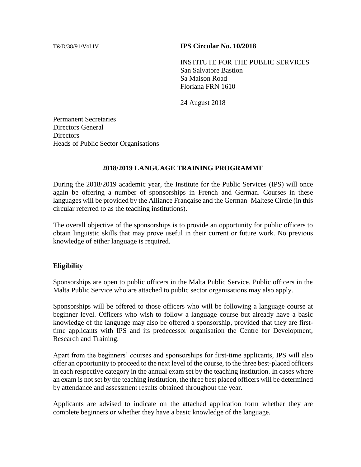#### T&D/38/91/Vol IV **IPS Circular No. 10/2018**

INSTITUTE FOR THE PUBLIC SERVICES San Salvatore Bastion Sa Maison Road Floriana FRN 1610

24 August 2018

Permanent Secretaries Directors General **Directors** Heads of Public Sector Organisations

#### **2018/2019 LANGUAGE TRAINING PROGRAMME**

During the 2018/2019 academic year, the Institute for the Public Services (IPS) will once again be offering a number of sponsorships in French and German. Courses in these languages will be provided by the Alliance Française and the German–Maltese Circle (in this circular referred to as the teaching institutions).

The overall objective of the sponsorships is to provide an opportunity for public officers to obtain linguistic skills that may prove useful in their current or future work. No previous knowledge of either language is required.

#### **Eligibility**

Sponsorships are open to public officers in the Malta Public Service. Public officers in the Malta Public Service who are attached to public sector organisations may also apply.

Sponsorships will be offered to those officers who will be following a language course at beginner level. Officers who wish to follow a language course but already have a basic knowledge of the language may also be offered a sponsorship, provided that they are firsttime applicants with IPS and its predecessor organisation the Centre for Development, Research and Training.

Apart from the beginners' courses and sponsorships for first-time applicants, IPS will also offer an opportunity to proceed to the next level of the course, to the three best-placed officers in each respective category in the annual exam set by the teaching institution. In cases where an exam is not set by the teaching institution, the three best placed officers will be determined by attendance and assessment results obtained throughout the year.

Applicants are advised to indicate on the attached application form whether they are complete beginners or whether they have a basic knowledge of the language.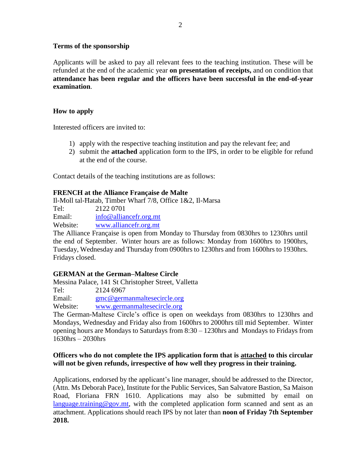# **Terms of the sponsorship**

Applicants will be asked to pay all relevant fees to the teaching institution. These will be refunded at the end of the academic year **on presentation of receipts,** and on condition that **attendance has been regular and the officers have been successful in the end-of-year examination**.

# **How to apply**

Interested officers are invited to:

- 1) apply with the respective teaching institution and pay the relevant fee; and
- 2) submit the **attached** application form to the IPS, in order to be eligible for refund at the end of the course.

Contact details of the teaching institutions are as follows:

### **FRENCH at the Alliance Française de Malte**

Il-Moll tal-Ħatab, Timber Wharf 7/8, Office 1&2, Il-Marsa

Tel: 2122 0701

Email: [info@alliancefr.org.mt](mailto:info@alliancefr.org.mt)

Website: [www.alliancefr.org.mt](http://www.alliancefr.org.mt/)

The Alliance Française is open from Monday to Thursday from 0830hrs to 1230hrs until the end of September. Winter hours are as follows: Monday from 1600hrs to 1900hrs, Tuesday, Wednesday and Thursday from 0900hrs to 1230hrs and from 1600hrs to 1930hrs. Fridays closed.

### **GERMAN at the German–Maltese Circle**

Messina Palace, 141 St Christopher Street, Valletta

Tel: 2124 6967

Email: [gmc@germanmaltesecircle.org](mailto:gmc@germanmaltesecircle.orgWebsite)

Website: [www.germanmaltesecircle.org](http://www.germanmaltesecircle.org/)

The German-Maltese Circle's office is open on weekdays from 0830hrs to 1230hrs and Mondays, Wednesday and Friday also from 1600hrs to 2000hrs till mid September. Winter opening hours are Mondays to Saturdays from 8:30 – 1230hrs and Mondays to Fridays from 1630hrs – 2030hrs

# **Officers who do not complete the IPS application form that is attached to this circular will not be given refunds, irrespective of how well they progress in their training.**

Applications, endorsed by the applicant's line manager, should be addressed to the Director, (Attn. Ms Deborah Pace), Institute for the Public Services, San Salvatore Bastion, Sa Maison Road, Floriana FRN 1610. Applications may also be submitted by email on [language.training@gov.mt,](mailto:language.training@gov.mt) with the completed application form scanned and sent as an attachment. Applications should reach IPS by not later than **noon of Friday 7th September 2018.**